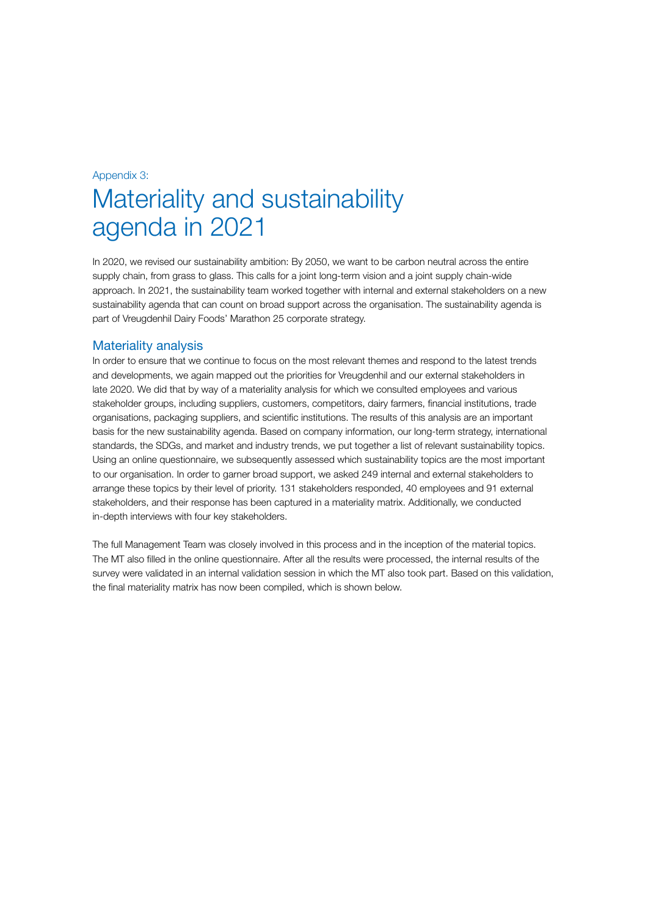## Appendix 3:

# Materiality and sustainability agenda in 2021

In 2020, we revised our sustainability ambition: By 2050, we want to be carbon neutral across the entire supply chain, from grass to glass. This calls for a joint long-term vision and a joint supply chain-wide approach. In 2021, the sustainability team worked together with internal and external stakeholders on a new sustainability agenda that can count on broad support across the organisation. The sustainability agenda is part of Vreugdenhil Dairy Foods' Marathon 25 corporate strategy.

## Materiality analysis

In order to ensure that we continue to focus on the most relevant themes and respond to the latest trends and developments, we again mapped out the priorities for Vreugdenhil and our external stakeholders in late 2020. We did that by way of a materiality analysis for which we consulted employees and various stakeholder groups, including suppliers, customers, competitors, dairy farmers, financial institutions, trade organisations, packaging suppliers, and scientific institutions. The results of this analysis are an important basis for the new sustainability agenda. Based on company information, our long-term strategy, international standards, the SDGs, and market and industry trends, we put together a list of relevant sustainability topics. Using an online questionnaire, we subsequently assessed which sustainability topics are the most important to our organisation. In order to garner broad support, we asked 249 internal and external stakeholders to arrange these topics by their level of priority. 131 stakeholders responded, 40 employees and 91 external stakeholders, and their response has been captured in a materiality matrix. Additionally, we conducted in-depth interviews with four key stakeholders.

The full Management Team was closely involved in this process and in the inception of the material topics. The MT also filled in the online questionnaire. After all the results were processed, the internal results of the survey were validated in an internal validation session in which the MT also took part. Based on this validation, the final materiality matrix has now been compiled, which is shown below.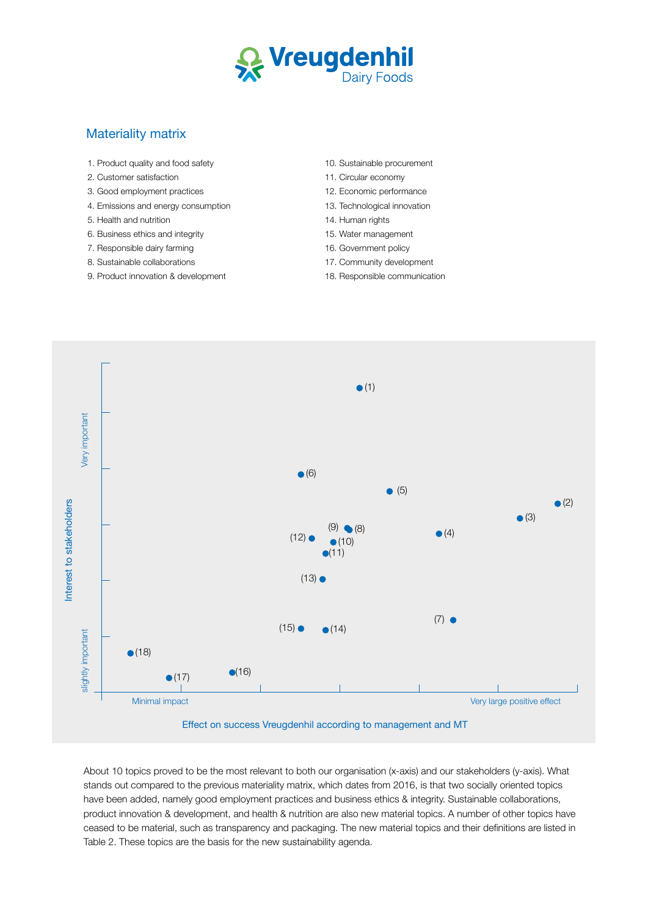

## Materiality matrix

- 1. Product quality and food safety
- 2. Customer satisfaction
- 3. Good employment practices
- 4. Emissions and energy consumption
- 5. Health and nutrition
- 6. Business ethics and integrity
- 7. Responsible dairy farming
- 8. Sustainable collaborations
- 9. Product innovation & development
- 10. Sustainable procurement
- 11. Circular economy
- 12. Economic performance
- 13. Technological innovation
- 14. Human rights
- 15. Water management
- 16. Government policy
- 17. Community development
- 18. Responsible communication



About 10 topics proved to be the most relevant to both our organisation (x-axis) and our stakeholders (y-axis). What stands out compared to the previous materiality matrix, which dates from 2016, is that two socially oriented topics have been added, namely good employment practices and business ethics & integrity. Sustainable collaborations, product innovation & development, and health & nutrition are also new material topics. A number of other topics have ceased to be material, such as transparency and packaging. The new material topics and their definitions are listed in Table 2. These topics are the basis for the new sustainability agenda.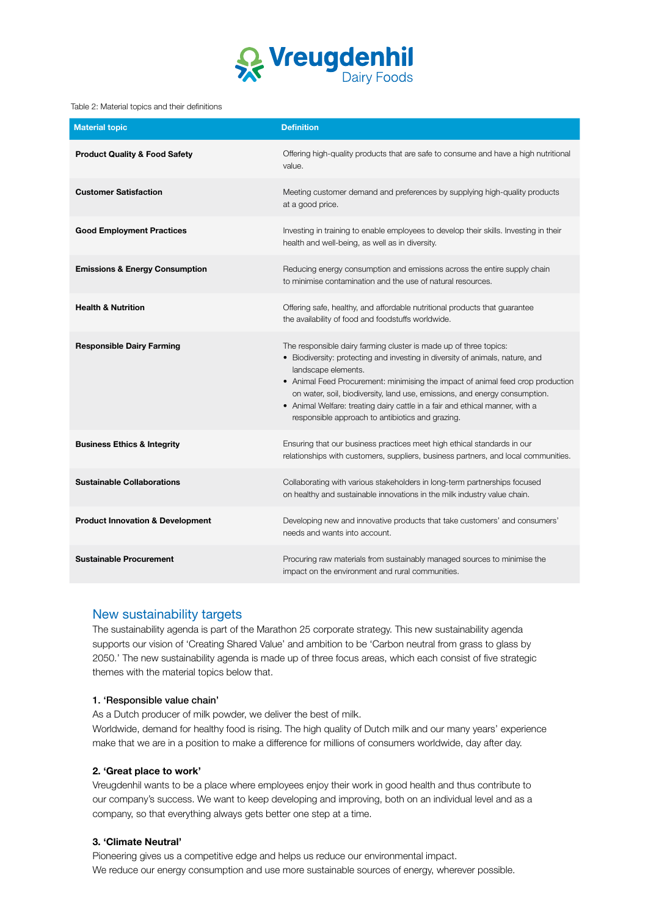

#### Table 2: Material topics and their definitions

| <b>Material topic</b>                       | <b>Definition</b>                                                                                                                                                                                                                                                                                                                                                                                                                                                              |
|---------------------------------------------|--------------------------------------------------------------------------------------------------------------------------------------------------------------------------------------------------------------------------------------------------------------------------------------------------------------------------------------------------------------------------------------------------------------------------------------------------------------------------------|
| <b>Product Quality &amp; Food Safety</b>    | Offering high-quality products that are safe to consume and have a high nutritional<br>value.                                                                                                                                                                                                                                                                                                                                                                                  |
| <b>Customer Satisfaction</b>                | Meeting customer demand and preferences by supplying high-quality products<br>at a good price.                                                                                                                                                                                                                                                                                                                                                                                 |
| <b>Good Employment Practices</b>            | Investing in training to enable employees to develop their skills. Investing in their<br>health and well-being, as well as in diversity.                                                                                                                                                                                                                                                                                                                                       |
| <b>Emissions &amp; Energy Consumption</b>   | Reducing energy consumption and emissions across the entire supply chain<br>to minimise contamination and the use of natural resources.                                                                                                                                                                                                                                                                                                                                        |
| <b>Health &amp; Nutrition</b>               | Offering safe, healthy, and affordable nutritional products that guarantee<br>the availability of food and foodstuffs worldwide.                                                                                                                                                                                                                                                                                                                                               |
| <b>Responsible Dairy Farming</b>            | The responsible dairy farming cluster is made up of three topics:<br>• Biodiversity: protecting and investing in diversity of animals, nature, and<br>landscape elements.<br>• Animal Feed Procurement: minimising the impact of animal feed crop production<br>on water, soil, biodiversity, land use, emissions, and energy consumption.<br>• Animal Welfare: treating dairy cattle in a fair and ethical manner, with a<br>responsible approach to antibiotics and grazing. |
| <b>Business Ethics &amp; Integrity</b>      | Ensuring that our business practices meet high ethical standards in our<br>relationships with customers, suppliers, business partners, and local communities.                                                                                                                                                                                                                                                                                                                  |
| <b>Sustainable Collaborations</b>           | Collaborating with various stakeholders in long-term partnerships focused<br>on healthy and sustainable innovations in the milk industry value chain.                                                                                                                                                                                                                                                                                                                          |
| <b>Product Innovation &amp; Development</b> | Developing new and innovative products that take customers' and consumers'<br>needs and wants into account.                                                                                                                                                                                                                                                                                                                                                                    |
| <b>Sustainable Procurement</b>              | Procuring raw materials from sustainably managed sources to minimise the<br>impact on the environment and rural communities.                                                                                                                                                                                                                                                                                                                                                   |

## New sustainability targets

The sustainability agenda is part of the Marathon 25 corporate strategy. This new sustainability agenda supports our vision of 'Creating Shared Value' and ambition to be 'Carbon neutral from grass to glass by 2050.' The new sustainability agenda is made up of three focus areas, which each consist of five strategic themes with the material topics below that.

## 1. 'Responsible value chain'

As a Dutch producer of milk powder, we deliver the best of milk.

Worldwide, demand for healthy food is rising. The high quality of Dutch milk and our many years' experience make that we are in a position to make a difference for millions of consumers worldwide, day after day.

## **2. 'Great place to work'**

Vreugdenhil wants to be a place where employees enjoy their work in good health and thus contribute to our company's success. We want to keep developing and improving, both on an individual level and as a company, so that everything always gets better one step at a time.

## **3. 'Climate Neutral'**

Pioneering gives us a competitive edge and helps us reduce our environmental impact. We reduce our energy consumption and use more sustainable sources of energy, wherever possible.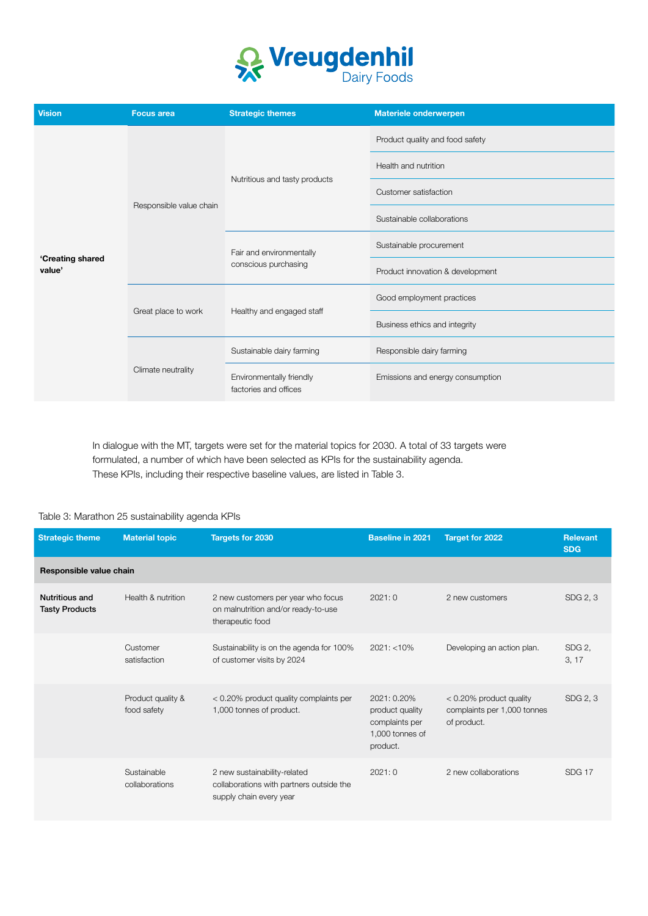

| <b>Vision</b>              | <b>Focus area</b>       | <b>Strategic themes</b>                           | <b>Materiele onderwerpen</b>     |  |
|----------------------------|-------------------------|---------------------------------------------------|----------------------------------|--|
| 'Creating shared<br>value' | Responsible value chain | Nutritious and tasty products                     | Product quality and food safety  |  |
|                            |                         |                                                   | Health and nutrition             |  |
|                            |                         |                                                   | Customer satisfaction            |  |
|                            |                         |                                                   | Sustainable collaborations       |  |
|                            |                         | Fair and environmentally<br>conscious purchasing  | Sustainable procurement          |  |
|                            |                         |                                                   | Product innovation & development |  |
|                            | Great place to work     |                                                   | Good employment practices        |  |
|                            |                         | Healthy and engaged staff                         | Business ethics and integrity    |  |
|                            | Climate neutrality      | Sustainable dairy farming                         | Responsible dairy farming        |  |
|                            |                         | Environmentally friendly<br>factories and offices | Emissions and energy consumption |  |

In dialogue with the MT, targets were set for the material topics for 2030. A total of 33 targets were formulated, a number of which have been selected as KPIs for the sustainability agenda. These KPIs, including their respective baseline values, are listed in Table 3.

#### Table 3: Marathon 25 sustainability agenda KPIs

| <b>Strategic theme</b>                         | <b>Material topic</b>            | <b>Targets for 2030</b>                                                                             | <b>Baseline in 2021</b>                                                         | <b>Target for 2022</b>                                                   | <b>Relevant</b><br><b>SDG</b> |  |
|------------------------------------------------|----------------------------------|-----------------------------------------------------------------------------------------------------|---------------------------------------------------------------------------------|--------------------------------------------------------------------------|-------------------------------|--|
| Responsible value chain                        |                                  |                                                                                                     |                                                                                 |                                                                          |                               |  |
| <b>Nutritious and</b><br><b>Tasty Products</b> | Health & nutrition               | 2 new customers per year who focus<br>on malnutrition and/or ready-to-use<br>therapeutic food       | 2021:0                                                                          | 2 new customers                                                          | SDG 2, 3                      |  |
|                                                | Customer<br>satisfaction         | Sustainability is on the agenda for 100%<br>of customer visits by 2024                              | $2021: < 10\%$                                                                  | Developing an action plan.                                               | SDG <sub>2</sub> ,<br>3, 17   |  |
|                                                | Product quality &<br>food safety | < 0.20% product quality complaints per<br>1,000 tonnes of product.                                  | 2021: 0.20%<br>product quality<br>complaints per<br>1,000 tonnes of<br>product. | $< 0.20\%$ product quality<br>complaints per 1,000 tonnes<br>of product. | SDG 2, 3                      |  |
|                                                | Sustainable<br>collaborations    | 2 new sustainability-related<br>collaborations with partners outside the<br>supply chain every year | 2021:0                                                                          | 2 new collaborations                                                     | <b>SDG 17</b>                 |  |